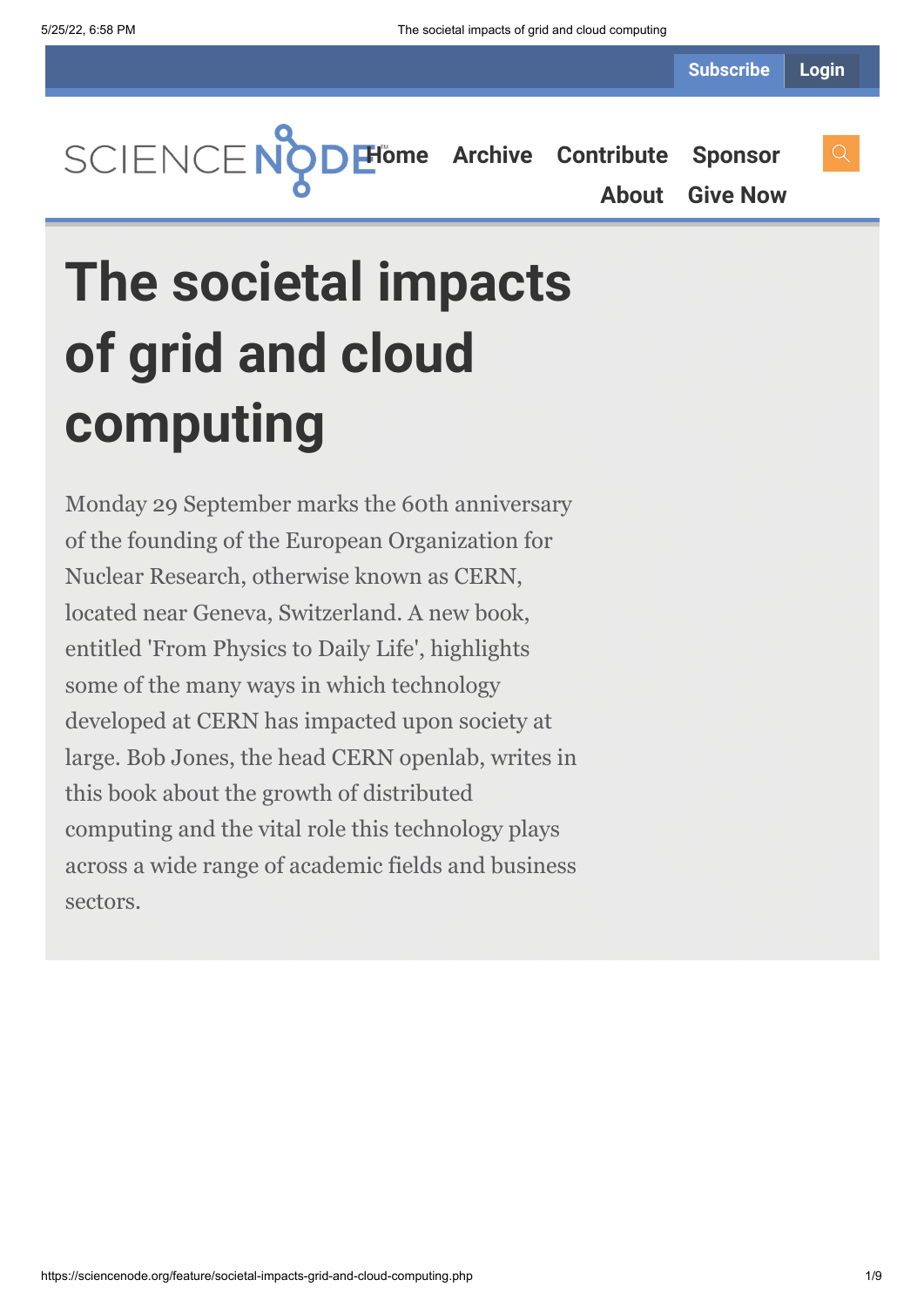**[Home](https://sciencenode.org/) [Archive](https://sciencenode.org/archive/index.php) [Contribute](https://sciencenode.org/contribute/index.php) [Sponsor](https://sciencenode.org/sponsor/index.php) [About](https://sciencenode.org/about/index.php) [Give Now](https://sciencenode.org/donate/index.php)**

# **The societal impacts of grid and cloud computing**

Monday 29 September marks the 60th anniversary of the founding of the European Organization for Nuclear Research, otherwise known as CERN, located near Geneva, Switzerland. A new book, entitled 'From Physics to Daily Life', highlights some of the many ways in which technology developed at CERN has impacted upon society at large. Bob Jones, the head CERN openlab, writes in this book about the growth of distributed computing and the vital role this technology plays across a wide range of academic fields and business sectors.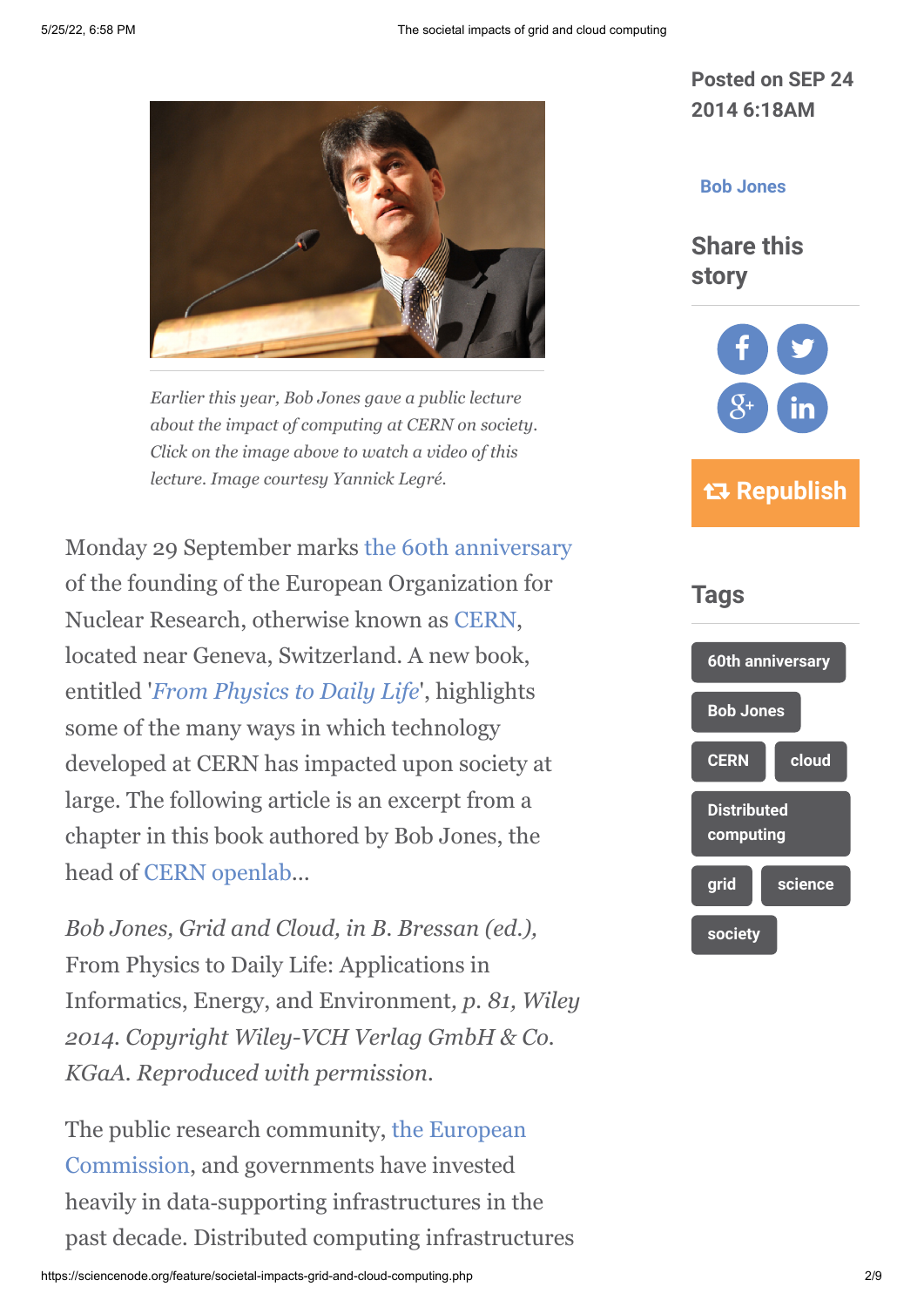

*Earlier this year, Bob Jones gave a public lecture about the impact of computing at CERN on society. Click on the image above to watch a video of this lecture. Image courtesy Yannick Legré.*

Monday 29 September marks [the 60th anniversary](http://cern60.web.cern.ch/en) of the founding of the European Organization for Nuclear Research, otherwise known as [CERN,](http://cern60.web.cern.ch/en) located near Geneva, Switzerland. A new book, entitled '*[From Physics to Daily Life](http://eu.wiley.com/WileyCDA/WileyTitle/productCd-3527332863.html)*', highlights some of the many ways in which technology developed at CERN has impacted upon society at large. The following article is an excerpt from a chapter in this book authored by Bob Jones, the head of [CERN openlab.](http://openlab.web.cern.ch/)..

*Bob Jones, Grid and Cloud, in B. Bressan (ed.),* From Physics to Daily Life: Applications in Informatics, Energy, and Environment*, p. 81, Wiley 2014. Copyright Wiley-VCH Verlag GmbH & Co. KGaA. Reproduced with permission.*

[The public research community, the European](http://ec.europa.eu/index_en.htm) Commission, and governments have invested heavily in data‐supporting infrastructures in the past decade. Distributed computing infrastructures **Posted on SEP 24 2014 6:18AM**

## **[Bob Jones](https://sciencenode.org/author/bob-jones.php)**

**Share this story**



 **Republish**

# **Tags**

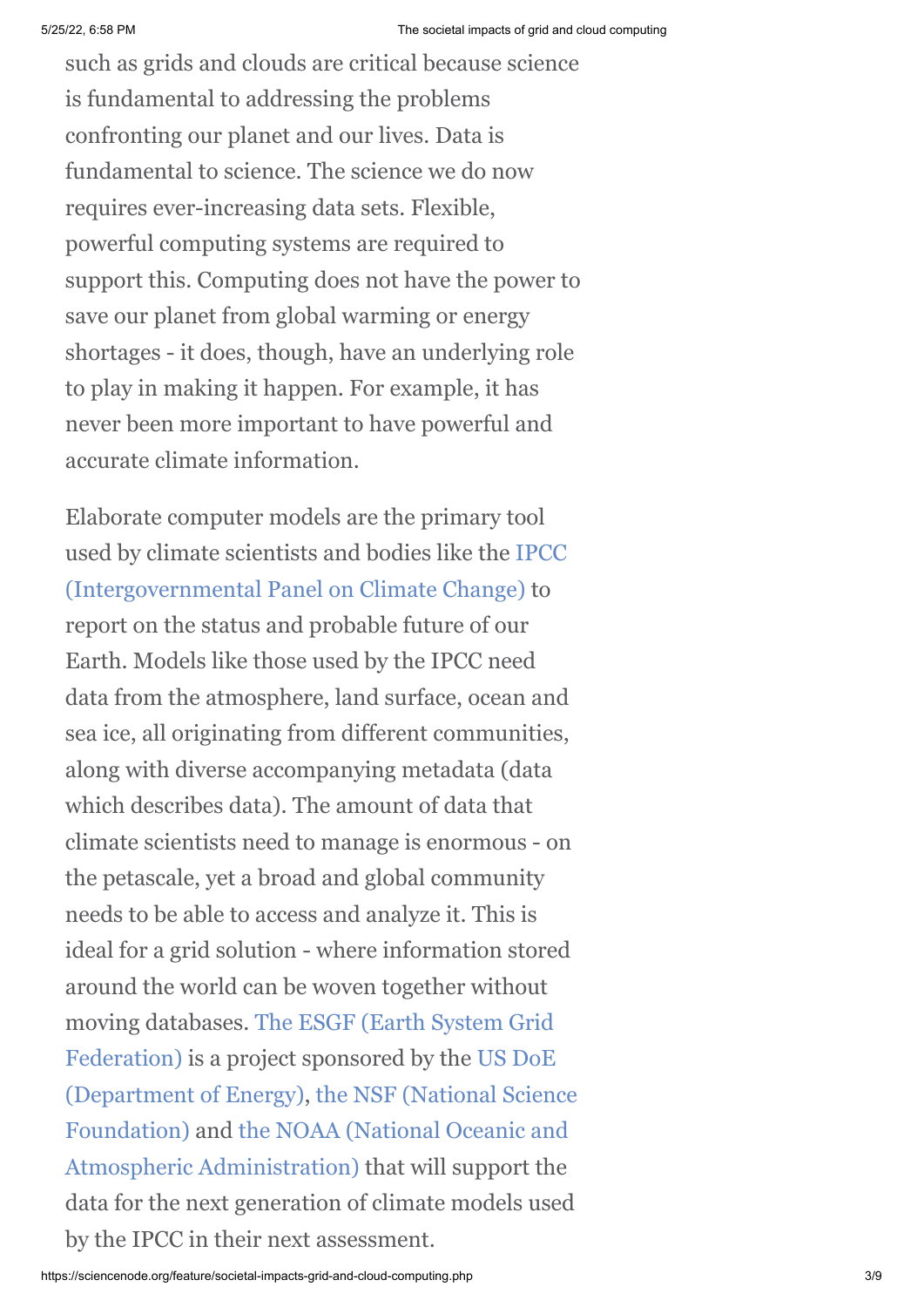such as grids and clouds are critical because science is fundamental to addressing the problems confronting our planet and our lives. Data is fundamental to science. The science we do now requires ever-increasing data sets. Flexible, powerful computing systems are required to support this. Computing does not have the power to save our planet from global warming or energy shortages - it does, though, have an underlying role to play in making it happen. For example, it has never been more important to have powerful and accurate climate information.

Elaborate computer models are the primary tool [used by climate scientists and bodies like the IPCC](http://www.ipcc.ch/) (Intergovernmental Panel on Climate Change) to report on the status and probable future of our Earth. Models like those used by the IPCC need data from the atmosphere, land surface, ocean and sea ice, all originating from different communities, along with diverse accompanying metadata (data which describes data). The amount of data that climate scientists need to manage is enormous - on the petascale, yet a broad and global community needs to be able to access and analyze it. This is ideal for a grid solution - where information stored around the world can be woven together without moving databases. The ESGF (Earth System Grid [Federation\) is a project sponsored by the US Do](http://esgf.org/)[E](http://www.energy.gov/) [\(Department of Energy\), the NSF \(National Science](http://www.nsf.gov/) [Foundation\) and the NOAA \(National Oceanic and](http://www.noaa.gov/) Atmospheric Administration) that will support the data for the next generation of climate models used by the IPCC in their next assessment.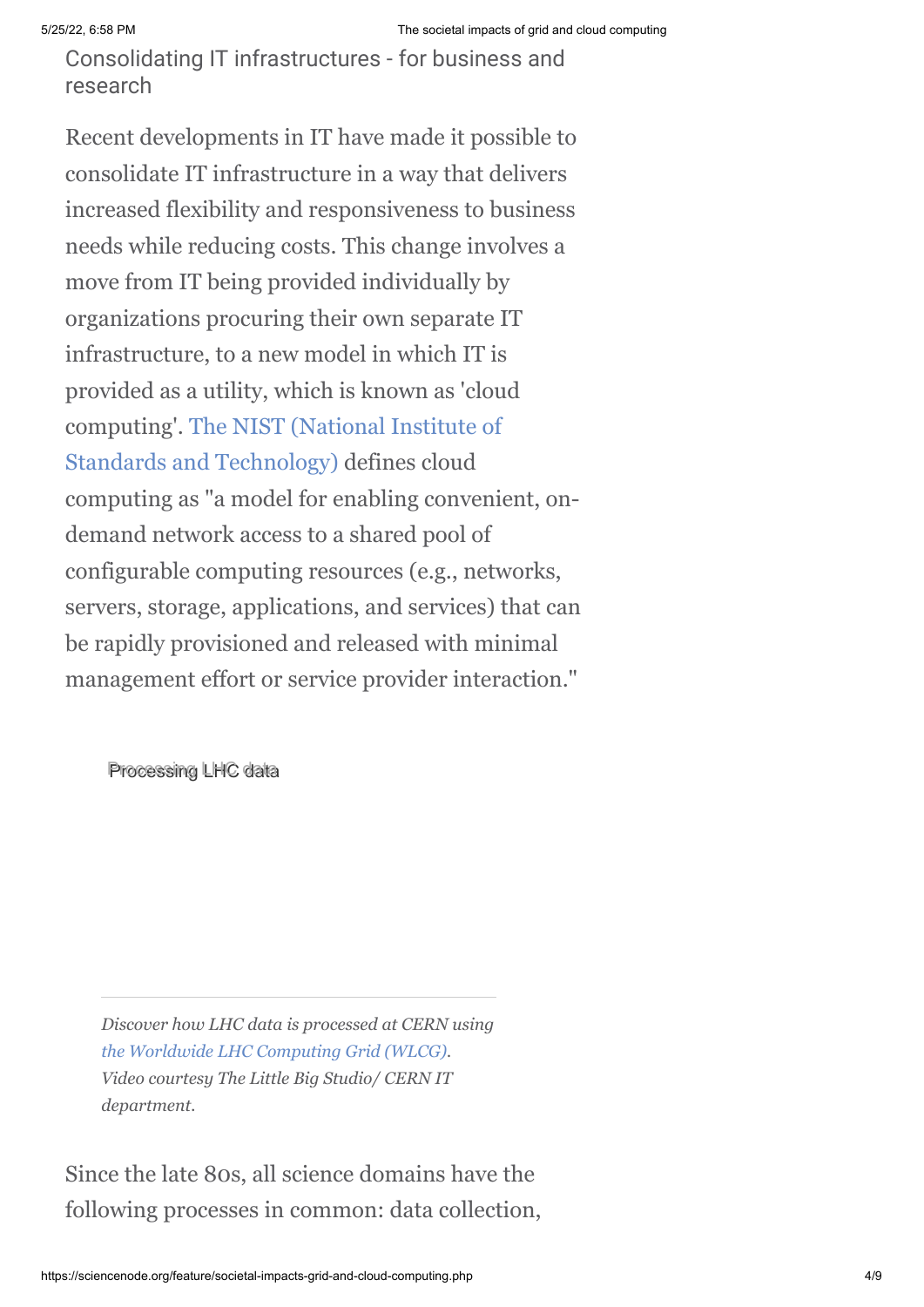Consolidating IT infrastructures - for business and research

Recent developments in IT have made it possible to consolidate IT infrastructure in a way that delivers increased flexibility and responsiveness to business needs while reducing costs. This change involves a move from IT being provided individually by organizations procuring their own separate IT infrastructure, to a new model in which IT is provided as a utility, which is known as 'cloud [computing'. The NIST \(National Institute of](http://www.nist.gov/) Standards and Technology) defines cloud computing as "a model for enabling convenient, ondemand network access to a shared pool of configurable computing resources (e.g., networks, servers, storage, applications, and services) that can be rapidly provisioned and released with minimal management effort or service provider interaction."

Processing LHC data

*Discover how LHC data is processed at CERN using [the Worldwide LHC Computing Grid \(WLCG\)](http://www.isgtw.org/advanced-search/results/wlcg). Video courtesy The Little Big Studio/ CERN IT department.*

Since the late 80s, all science domains have the following processes in common: data collection,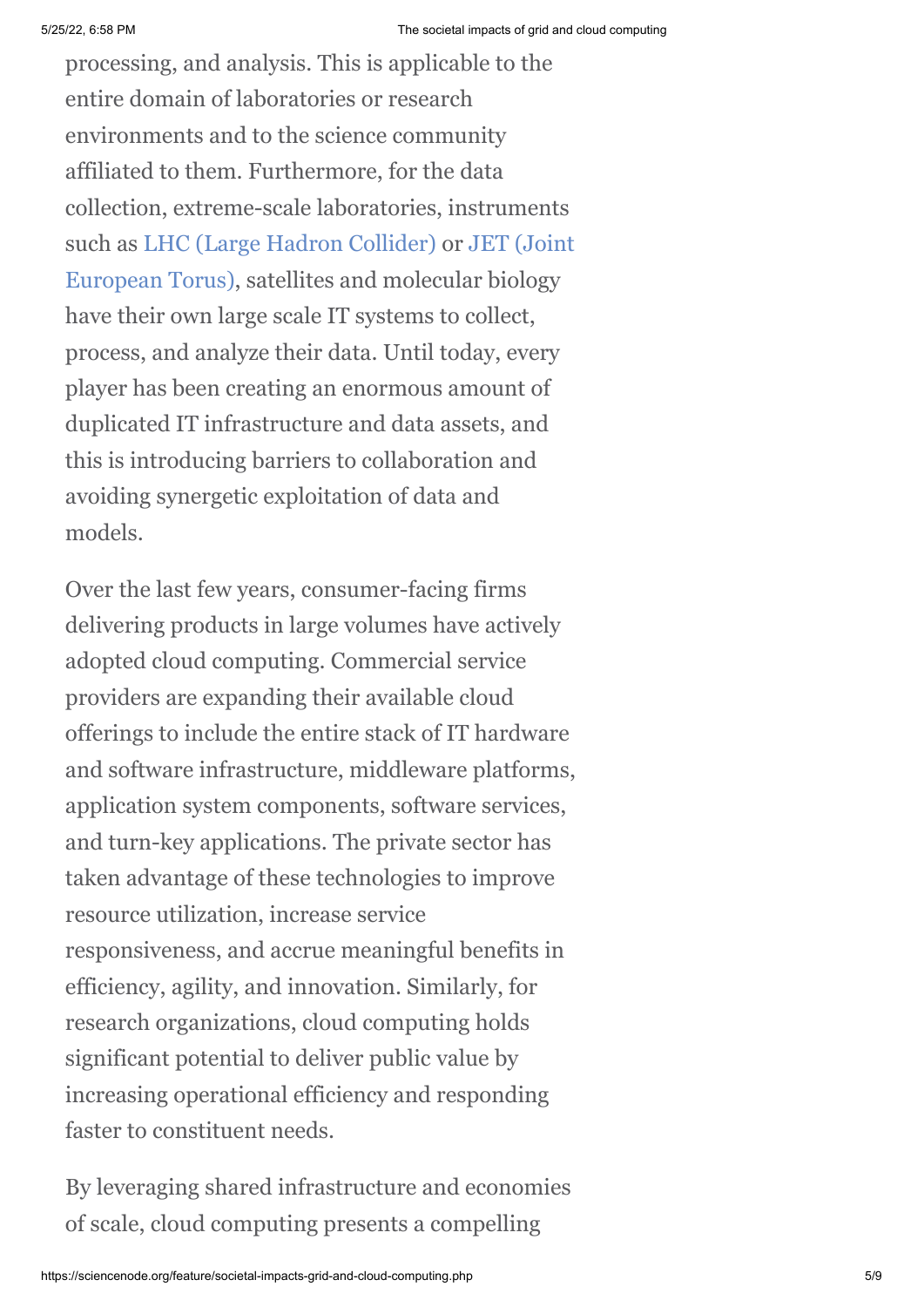processing, and analysis. This is applicable to the entire domain of laboratories or research environments and to the science community affiliated to them. Furthermore, for the data collection, extreme-scale laboratories, instruments [such as](http://www.efda.org/jet/) [LHC \(Large Hadron Collider](http://home.web.cern.ch/topics/large-hadron-collider)[\) or JET \(Joint](http://www.efda.org/jet/) European Torus), satellites and molecular biology have their own large scale IT systems to collect, process, and analyze their data. Until today, every player has been creating an enormous amount of duplicated IT infrastructure and data assets, and this is introducing barriers to collaboration and avoiding synergetic exploitation of data and models.

Over the last few years, consumer-facing firms delivering products in large volumes have actively adopted cloud computing. Commercial service providers are expanding their available cloud offerings to include the entire stack of IT hardware and software infrastructure, middleware platforms, application system components, software services, and turn-key applications. The private sector has taken advantage of these technologies to improve resource utilization, increase service responsiveness, and accrue meaningful benefits in efficiency, agility, and innovation. Similarly, for research organizations, cloud computing holds significant potential to deliver public value by increasing operational efficiency and responding faster to constituent needs.

By leveraging shared infrastructure and economies of scale, cloud computing presents a compelling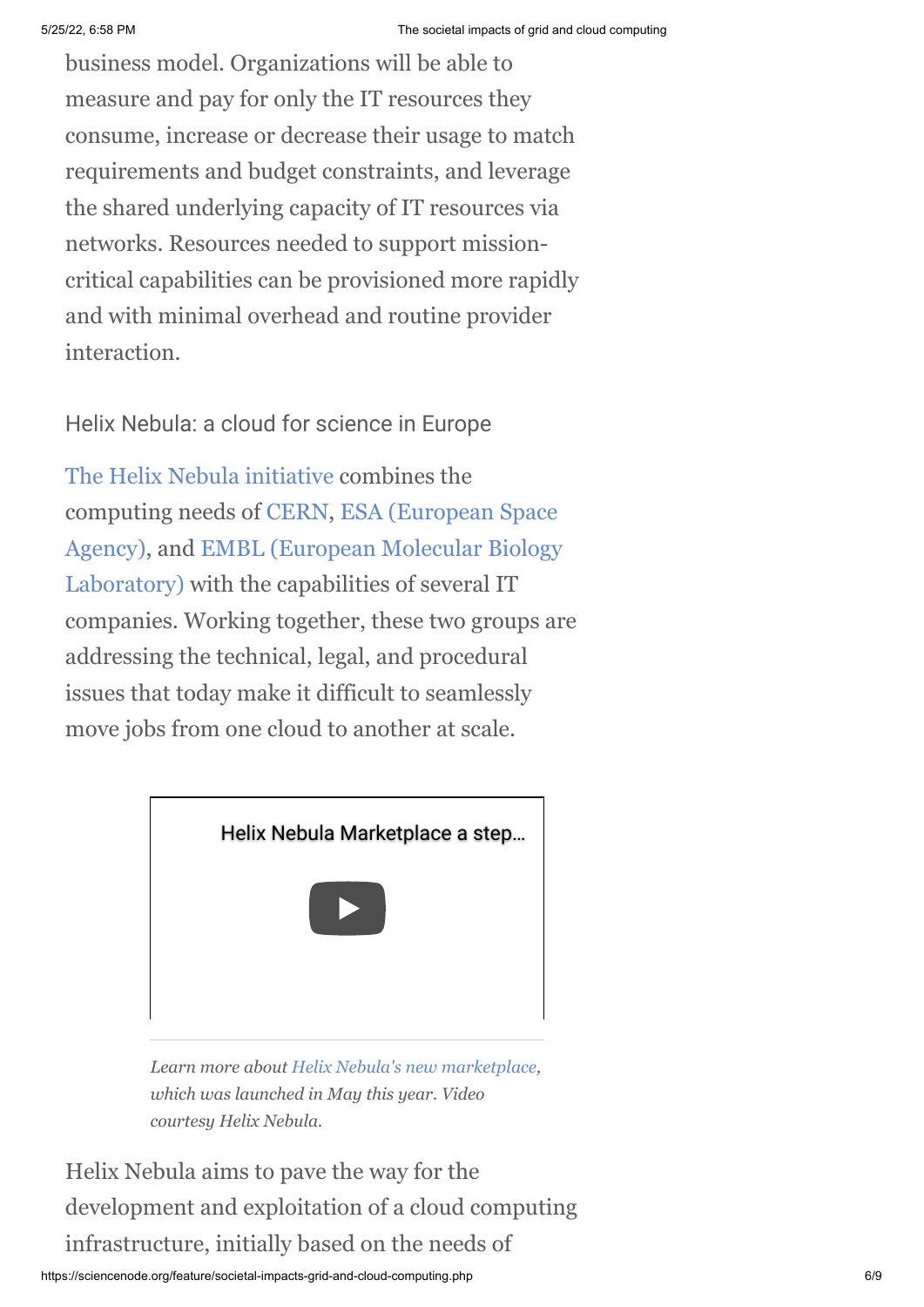business model. Organizations will be able to measure and pay for only the IT resources they consume, increase or decrease their usage to match requirements and budget constraints, and leverage the shared underlying capacity of IT resources via networks. Resources needed to support missioncritical capabilities can be provisioned more rapidly and with minimal overhead and routine provider interaction.

Helix Nebula: a cloud for science in Europe

[The Helix Nebula initiative](http://helix-nebula.eu/) combines the [computing needs of](http://www.esa.int/ESA) [CER](http://cern.ch/)[N, ESA \(European Space](http://www.esa.int/ESA) [Agency\), and EMBL \(European Molecular Biology](http://www.embl.de/) Laboratory) with the capabilities of several IT companies. Working together, these two groups are addressing the technical, legal, and procedural issues that today make it difficult to seamlessly move jobs from one cloud to another at scale.



*Learn more about [Helix Nebula's new marketplace,](http://www.isgtw.org/spotlight/research-europe-boosted-launch-new-cloud-computing-marketplace) which was launched in May this year. Video courtesy Helix Nebula.*

Helix Nebula aims to pave the way for the development and exploitation of a cloud computing infrastructure, initially based on the needs of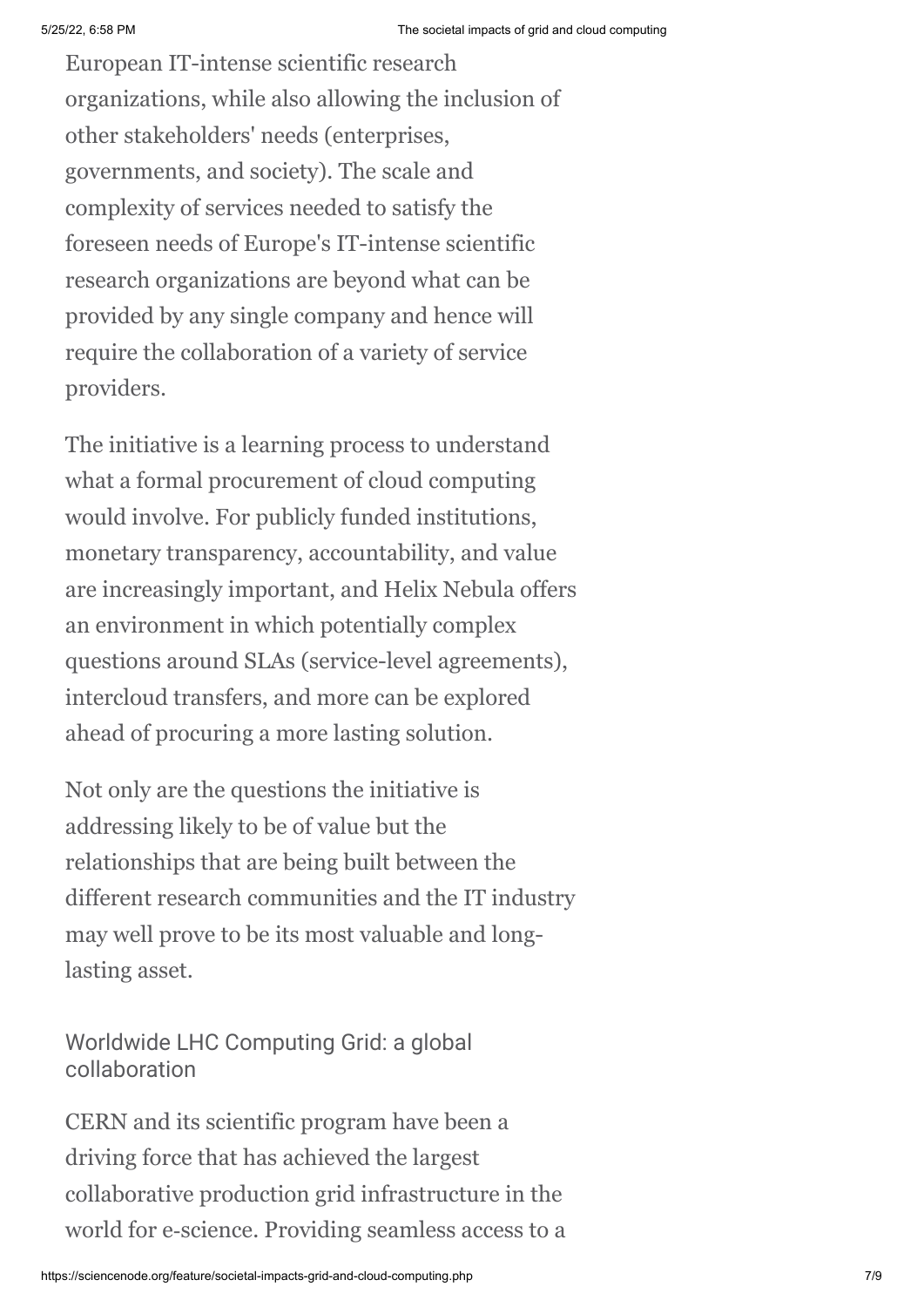European IT-intense scientific research organizations, while also allowing the inclusion of other stakeholders' needs (enterprises, governments, and society). The scale and complexity of services needed to satisfy the foreseen needs of Europe's IT-intense scientific research organizations are beyond what can be provided by any single company and hence will require the collaboration of a variety of service providers.

The initiative is a learning process to understand what a formal procurement of cloud computing would involve. For publicly funded institutions, monetary transparency, accountability, and value are increasingly important, and Helix Nebula offers an environment in which potentially complex questions around SLAs (service-level agreements), intercloud transfers, and more can be explored ahead of procuring a more lasting solution.

Not only are the questions the initiative is addressing likely to be of value but the relationships that are being built between the different research communities and the IT industry may well prove to be its most valuable and longlasting asset.

Worldwide LHC Computing Grid: a global collaboration

CERN and its scientific program have been a driving force that has achieved the largest collaborative production grid infrastructure in the world for e‐science. Providing seamless access to a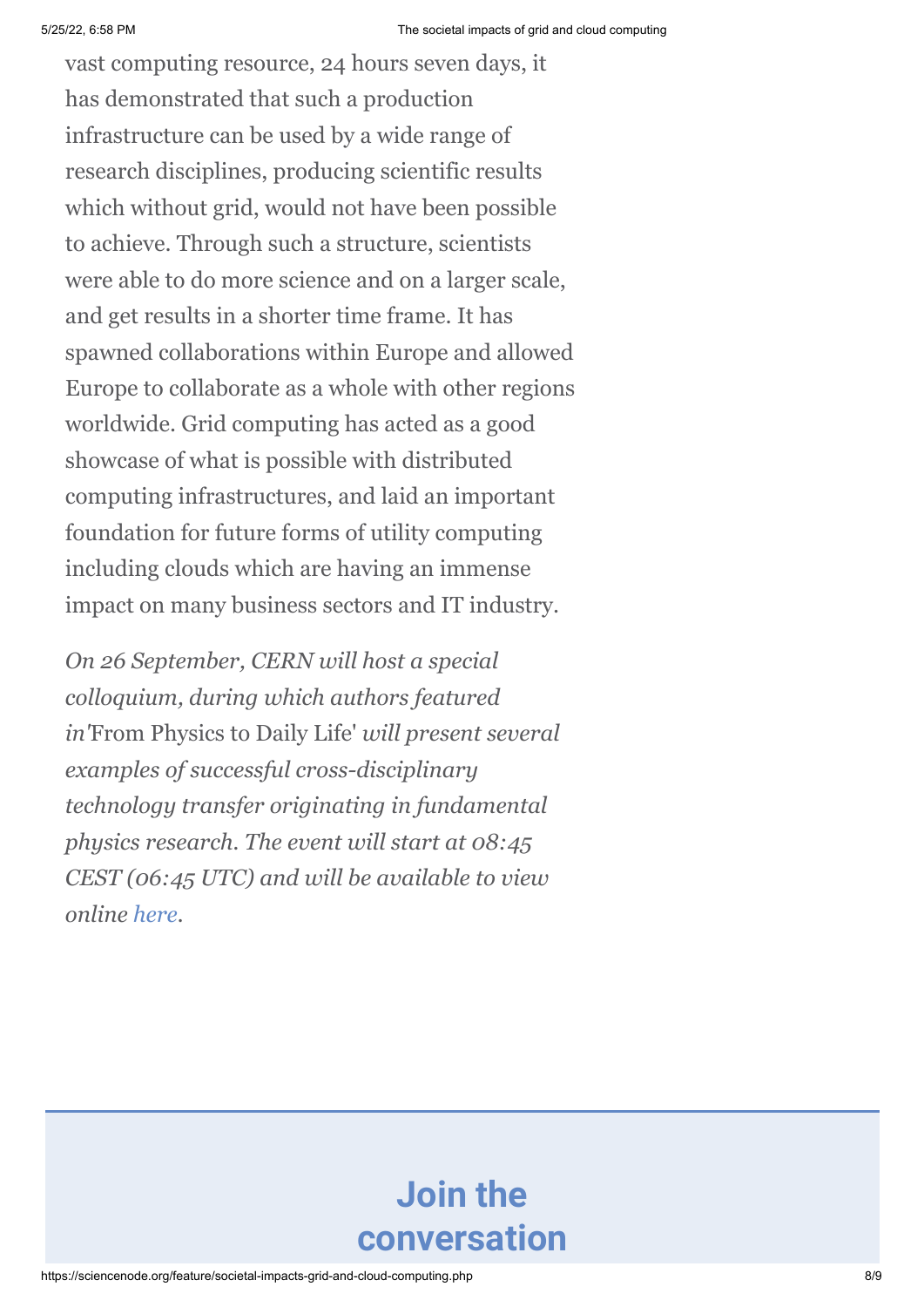vast computing resource, 24 hours seven days, it has demonstrated that such a production infrastructure can be used by a wide range of research disciplines, producing scientific results which without grid, would not have been possible to achieve. Through such a structure, scientists were able to do more science and on a larger scale, and get results in a shorter time frame. It has spawned collaborations within Europe and allowed Europe to collaborate as a whole with other regions worldwide. Grid computing has acted as a good showcase of what is possible with distributed computing infrastructures, and laid an important foundation for future forms of utility computing including clouds which are having an immense impact on many business sectors and IT industry.

*On 26 September, CERN will host a special colloquium, during which authors featured in'*From Physics to Daily Life' *will present several examples of successful cross-disciplinary technology transfer originating in fundamental physics research. The event will start at 08:45 CEST (06:45 UTC) and will be available to view online [here.](http://webcast.web.cern.ch/webcast/play.php?event=331449)*

# **Join the conversation**